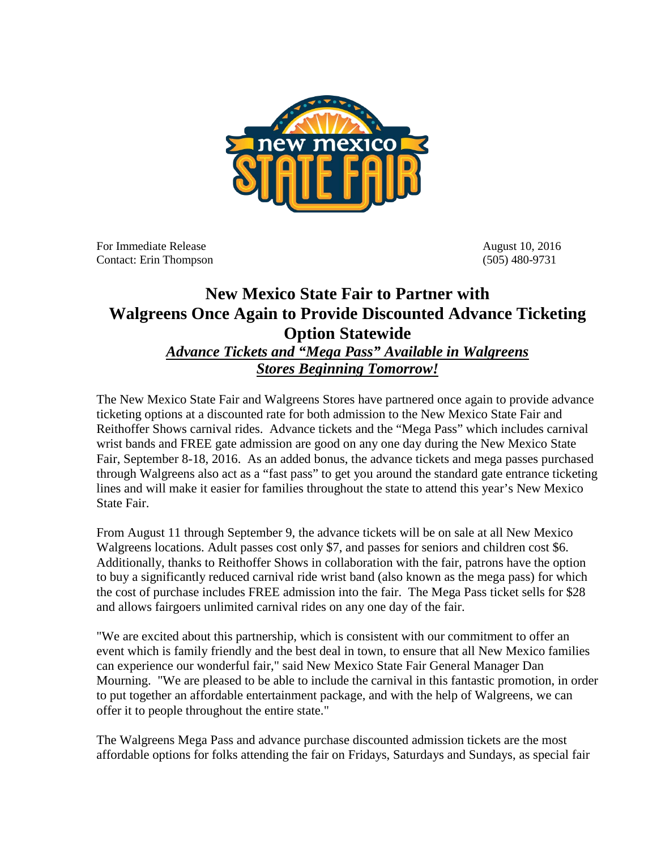

For Immediate Release August 10, 2016 Contact: Erin Thompson (505) 480-9731

## **New Mexico State Fair to Partner with Walgreens Once Again to Provide Discounted Advance Ticketing Option Statewide**

## *Advance Tickets and "Mega Pass" Available in Walgreens Stores Beginning Tomorrow!*

The New Mexico State Fair and Walgreens Stores have partnered once again to provide advance ticketing options at a discounted rate for both admission to the New Mexico State Fair and Reithoffer Shows carnival rides. Advance tickets and the "Mega Pass" which includes carnival wrist bands and FREE gate admission are good on any one day during the New Mexico State Fair, September 8-18, 2016. As an added bonus, the advance tickets and mega passes purchased through Walgreens also act as a "fast pass" to get you around the standard gate entrance ticketing lines and will make it easier for families throughout the state to attend this year's New Mexico State Fair.

From August 11 through September 9, the advance tickets will be on sale at all New Mexico Walgreens locations. Adult passes cost only \$7, and passes for seniors and children cost \$6. Additionally, thanks to Reithoffer Shows in collaboration with the fair, patrons have the option to buy a significantly reduced carnival ride wrist band (also known as the mega pass) for which the cost of purchase includes FREE admission into the fair. The Mega Pass ticket sells for \$28 and allows fairgoers unlimited carnival rides on any one day of the fair.

"We are excited about this partnership, which is consistent with our commitment to offer an event which is family friendly and the best deal in town, to ensure that all New Mexico families can experience our wonderful fair," said New Mexico State Fair General Manager Dan Mourning. "We are pleased to be able to include the carnival in this fantastic promotion, in order to put together an affordable entertainment package, and with the help of Walgreens, we can offer it to people throughout the entire state."

The Walgreens Mega Pass and advance purchase discounted admission tickets are the most affordable options for folks attending the fair on Fridays, Saturdays and Sundays, as special fair